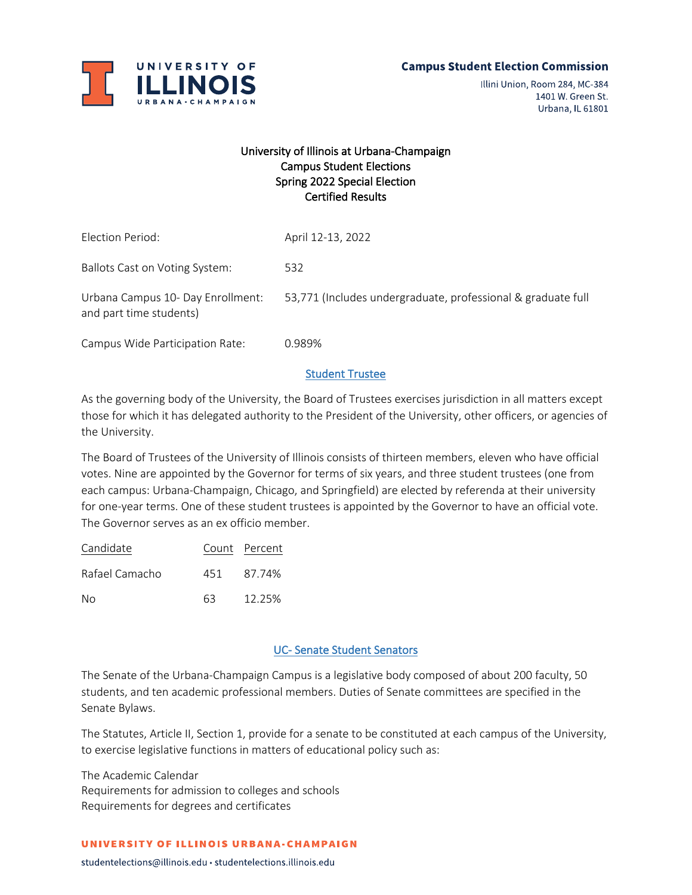

Illini Union, Room 284, MC-384 1401 W. Green St. Urbana, IL 61801

# University of Illinois at Urbana-Champaign Campus Student Elections Spring 2022 Special Election Certified Results

| Election Period:                                             | April 12-13, 2022                                            |
|--------------------------------------------------------------|--------------------------------------------------------------|
| Ballots Cast on Voting System:                               | 532                                                          |
| Urbana Campus 10- Day Enrollment:<br>and part time students) | 53,771 (Includes undergraduate, professional & graduate full |
| Campus Wide Participation Rate:                              | 0.989%                                                       |

### Student Trustee

As the governing body of the University, the Board of Trustees exercises jurisdiction in all matters except those for which it has delegated authority to the President of the University, other officers, or agencies of the University.

The Board of Trustees of the University of Illinois consists of thirteen members, eleven who have official votes. Nine are appointed by the Governor for terms of six years, and three student trustees (one from each campus: Urbana-Champaign, Chicago, and Springfield) are elected by referenda at their university for one-year terms. One of these student trustees is appointed by the Governor to have an official vote. The Governor serves as an ex officio member.

| Candidate      |     | Count Percent |
|----------------|-----|---------------|
| Rafael Camacho | 451 | 87.74%        |
| Nο             | 63  | 12.25%        |

## UC- Senate Student Senators

The Senate of the Urbana-Champaign Campus is a legislative body composed of about 200 faculty, 50 students, and ten academic professional members. Duties of Senate committees are specified in the Senate Bylaws.

The Statutes, Article II, Section 1, provide for a senate to be constituted at each campus of the University, to exercise legislative functions in matters of educational policy such as:

The Academic Calendar Requirements for admission to colleges and schools Requirements for degrees and certificates

#### UNIVERSITY OF ILLINOIS URBANA-CHAMPAIGN

studentelections@illinois.edu · studentelections.illinois.edu